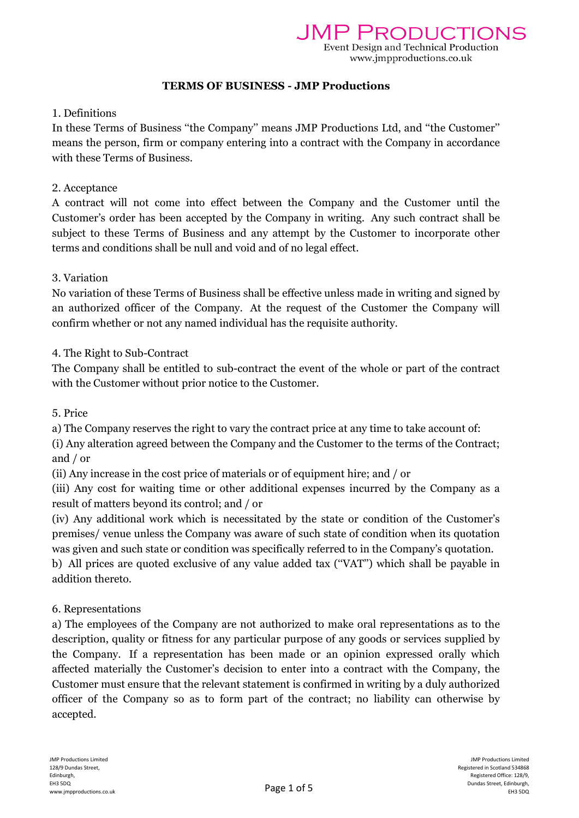### TERMS OF BUSINESS - JMP Productions

### 1. Definitions

In these Terms of Business ''the Company'' means JMP Productions Ltd, and ''the Customer'' means the person, firm or company entering into a contract with the Company in accordance with these Terms of Business.

### 2. Acceptance

A contract will not come into effect between the Company and the Customer until the Customer's order has been accepted by the Company in writing. Any such contract shall be subject to these Terms of Business and any attempt by the Customer to incorporate other terms and conditions shall be null and void and of no legal effect.

### 3. Variation

No variation of these Terms of Business shall be effective unless made in writing and signed by an authorized officer of the Company. At the request of the Customer the Company will confirm whether or not any named individual has the requisite authority.

# 4. The Right to Sub-Contract

The Company shall be entitled to sub-contract the event of the whole or part of the contract with the Customer without prior notice to the Customer.

### 5. Price

a) The Company reserves the right to vary the contract price at any time to take account of:

(i) Any alteration agreed between the Company and the Customer to the terms of the Contract; and / or

(ii) Any increase in the cost price of materials or of equipment hire; and / or

(iii) Any cost for waiting time or other additional expenses incurred by the Company as a result of matters beyond its control; and / or

(iv) Any additional work which is necessitated by the state or condition of the Customer's premises/ venue unless the Company was aware of such state of condition when its quotation was given and such state or condition was specifically referred to in the Company's quotation.

b) All prices are quoted exclusive of any value added tax (''VAT'') which shall be payable in addition thereto.

# 6. Representations

a) The employees of the Company are not authorized to make oral representations as to the description, quality or fitness for any particular purpose of any goods or services supplied by the Company. If a representation has been made or an opinion expressed orally which affected materially the Customer's decision to enter into a contract with the Company, the Customer must ensure that the relevant statement is confirmed in writing by a duly authorized officer of the Company so as to form part of the contract; no liability can otherwise by accepted.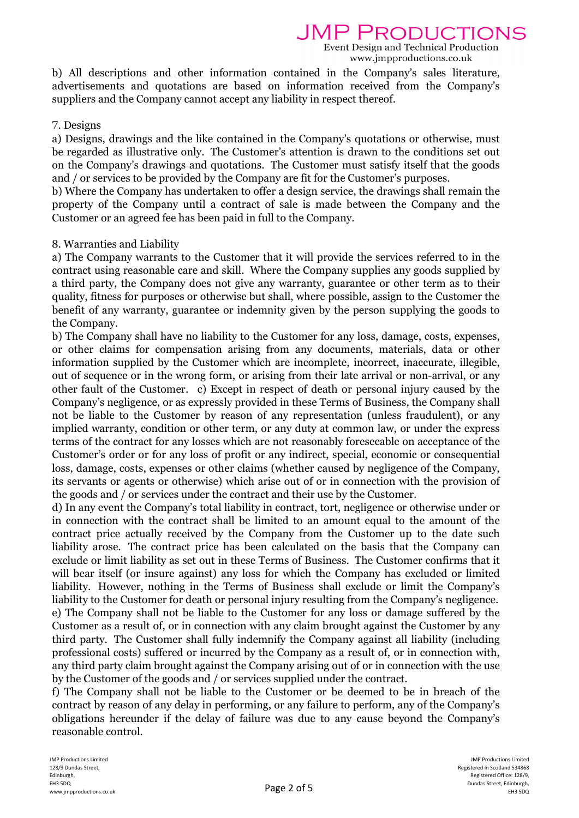JMP PRODUCTIONS

Event Design and Technical Production www.jmpproductions.co.uk

b) All descriptions and other information contained in the Company's sales literature, advertisements and quotations are based on information received from the Company's suppliers and the Company cannot accept any liability in respect thereof.

### 7. Designs

a) Designs, drawings and the like contained in the Company's quotations or otherwise, must be regarded as illustrative only. The Customer's attention is drawn to the conditions set out on the Company's drawings and quotations. The Customer must satisfy itself that the goods and / or services to be provided by the Company are fit for the Customer's purposes.

b) Where the Company has undertaken to offer a design service, the drawings shall remain the property of the Company until a contract of sale is made between the Company and the Customer or an agreed fee has been paid in full to the Company.

### 8. Warranties and Liability

a) The Company warrants to the Customer that it will provide the services referred to in the contract using reasonable care and skill. Where the Company supplies any goods supplied by a third party, the Company does not give any warranty, guarantee or other term as to their quality, fitness for purposes or otherwise but shall, where possible, assign to the Customer the benefit of any warranty, guarantee or indemnity given by the person supplying the goods to the Company.

b) The Company shall have no liability to the Customer for any loss, damage, costs, expenses, or other claims for compensation arising from any documents, materials, data or other information supplied by the Customer which are incomplete, incorrect, inaccurate, illegible, out of sequence or in the wrong form, or arising from their late arrival or non-arrival, or any other fault of the Customer. c) Except in respect of death or personal injury caused by the Company's negligence, or as expressly provided in these Terms of Business, the Company shall not be liable to the Customer by reason of any representation (unless fraudulent), or any implied warranty, condition or other term, or any duty at common law, or under the express terms of the contract for any losses which are not reasonably foreseeable on acceptance of the Customer's order or for any loss of profit or any indirect, special, economic or consequential loss, damage, costs, expenses or other claims (whether caused by negligence of the Company, its servants or agents or otherwise) which arise out of or in connection with the provision of the goods and / or services under the contract and their use by the Customer.

d) In any event the Company's total liability in contract, tort, negligence or otherwise under or in connection with the contract shall be limited to an amount equal to the amount of the contract price actually received by the Company from the Customer up to the date such liability arose. The contract price has been calculated on the basis that the Company can exclude or limit liability as set out in these Terms of Business. The Customer confirms that it will bear itself (or insure against) any loss for which the Company has excluded or limited liability. However, nothing in the Terms of Business shall exclude or limit the Company's liability to the Customer for death or personal injury resulting from the Company's negligence. e) The Company shall not be liable to the Customer for any loss or damage suffered by the Customer as a result of, or in connection with any claim brought against the Customer by any third party. The Customer shall fully indemnify the Company against all liability (including professional costs) suffered or incurred by the Company as a result of, or in connection with, any third party claim brought against the Company arising out of or in connection with the use by the Customer of the goods and / or services supplied under the contract.

f) The Company shall not be liable to the Customer or be deemed to be in breach of the contract by reason of any delay in performing, or any failure to perform, any of the Company's obligations hereunder if the delay of failure was due to any cause beyond the Company's reasonable control.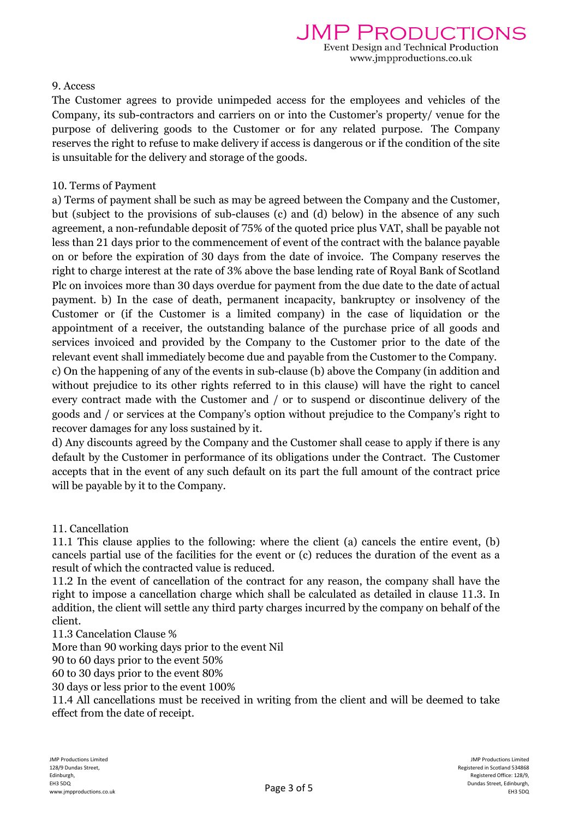## 9. Access

The Customer agrees to provide unimpeded access for the employees and vehicles of the Company, its sub-contractors and carriers on or into the Customer's property/ venue for the purpose of delivering goods to the Customer or for any related purpose. The Company reserves the right to refuse to make delivery if access is dangerous or if the condition of the site is unsuitable for the delivery and storage of the goods.

## 10. Terms of Payment

a) Terms of payment shall be such as may be agreed between the Company and the Customer, but (subject to the provisions of sub-clauses (c) and (d) below) in the absence of any such agreement, a non-refundable deposit of 75% of the quoted price plus VAT, shall be payable not less than 21 days prior to the commencement of event of the contract with the balance payable on or before the expiration of 30 days from the date of invoice. The Company reserves the right to charge interest at the rate of 3% above the base lending rate of Royal Bank of Scotland Plc on invoices more than 30 days overdue for payment from the due date to the date of actual payment. b) In the case of death, permanent incapacity, bankruptcy or insolvency of the Customer or (if the Customer is a limited company) in the case of liquidation or the appointment of a receiver, the outstanding balance of the purchase price of all goods and services invoiced and provided by the Company to the Customer prior to the date of the relevant event shall immediately become due and payable from the Customer to the Company. c) On the happening of any of the events in sub-clause (b) above the Company (in addition and without prejudice to its other rights referred to in this clause) will have the right to cancel every contract made with the Customer and / or to suspend or discontinue delivery of the goods and / or services at the Company's option without prejudice to the Company's right to recover damages for any loss sustained by it.

d) Any discounts agreed by the Company and the Customer shall cease to apply if there is any default by the Customer in performance of its obligations under the Contract. The Customer accepts that in the event of any such default on its part the full amount of the contract price will be payable by it to the Company.

# 11. Cancellation

11.1 This clause applies to the following: where the client (a) cancels the entire event, (b) cancels partial use of the facilities for the event or (c) reduces the duration of the event as a result of which the contracted value is reduced.

11.2 In the event of cancellation of the contract for any reason, the company shall have the right to impose a cancellation charge which shall be calculated as detailed in clause 11.3. In addition, the client will settle any third party charges incurred by the company on behalf of the client.

11.3 Cancelation Clause %

More than 90 working days prior to the event Nil

90 to 60 days prior to the event 50%

60 to 30 days prior to the event 80%

30 days or less prior to the event 100%

11.4 All cancellations must be received in writing from the client and will be deemed to take effect from the date of receipt.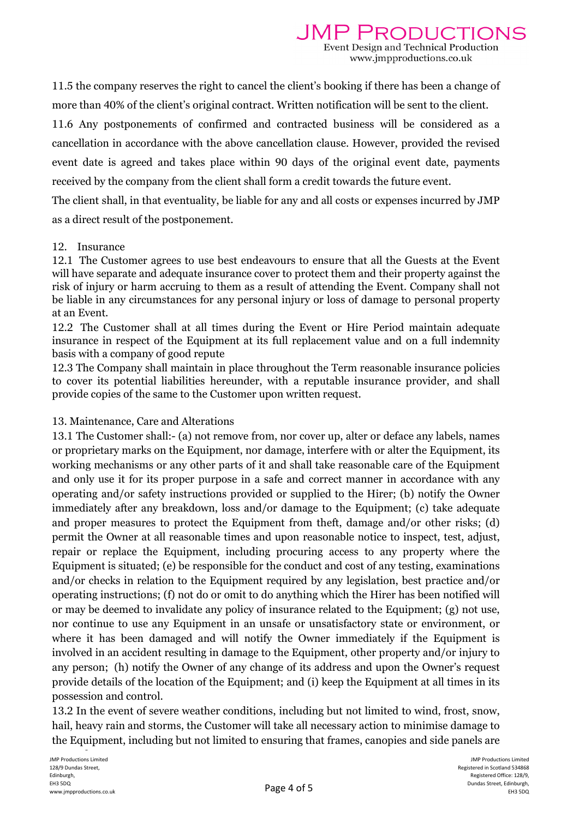11.5 the company reserves the right to cancel the client's booking if there has been a change of more than 40% of the client's original contract. Written notification will be sent to the client.

11.6 Any postponements of confirmed and contracted business will be considered as a cancellation in accordance with the above cancellation clause. However, provided the revised event date is agreed and takes place within 90 days of the original event date, payments received by the company from the client shall form a credit towards the future event.

The client shall, in that eventuality, be liable for any and all costs or expenses incurred by JMP as a direct result of the postponement.

#### 12. Insurance

12.1 The Customer agrees to use best endeavours to ensure that all the Guests at the Event will have separate and adequate insurance cover to protect them and their property against the risk of injury or harm accruing to them as a result of attending the Event. Company shall not be liable in any circumstances for any personal injury or loss of damage to personal property at an Event.

12.2 The Customer shall at all times during the Event or Hire Period maintain adequate insurance in respect of the Equipment at its full replacement value and on a full indemnity basis with a company of good repute

12.3 The Company shall maintain in place throughout the Term reasonable insurance policies to cover its potential liabilities hereunder, with a reputable insurance provider, and shall provide copies of the same to the Customer upon written request.

# 13. Maintenance, Care and Alterations

13.1 The Customer shall:- (a) not remove from, nor cover up, alter or deface any labels, names or proprietary marks on the Equipment, nor damage, interfere with or alter the Equipment, its working mechanisms or any other parts of it and shall take reasonable care of the Equipment and only use it for its proper purpose in a safe and correct manner in accordance with any operating and/or safety instructions provided or supplied to the Hirer; (b) notify the Owner immediately after any breakdown, loss and/or damage to the Equipment; (c) take adequate and proper measures to protect the Equipment from theft, damage and/or other risks; (d) permit the Owner at all reasonable times and upon reasonable notice to inspect, test, adjust, repair or replace the Equipment, including procuring access to any property where the Equipment is situated; (e) be responsible for the conduct and cost of any testing, examinations and/or checks in relation to the Equipment required by any legislation, best practice and/or operating instructions; (f) not do or omit to do anything which the Hirer has been notified will or may be deemed to invalidate any policy of insurance related to the Equipment; (g) not use, nor continue to use any Equipment in an unsafe or unsatisfactory state or environment, or where it has been damaged and will notify the Owner immediately if the Equipment is involved in an accident resulting in damage to the Equipment, other property and/or injury to any person; (h) notify the Owner of any change of its address and upon the Owner's request provide details of the location of the Equipment; and (i) keep the Equipment at all times in its possession and control.

13.2 In the event of severe weather conditions, including but not limited to wind, frost, snow, hail, heavy rain and storms, the Customer will take all necessary action to minimise damage to the Equipment, including but not limited to ensuring that frames, canopies and side panels are